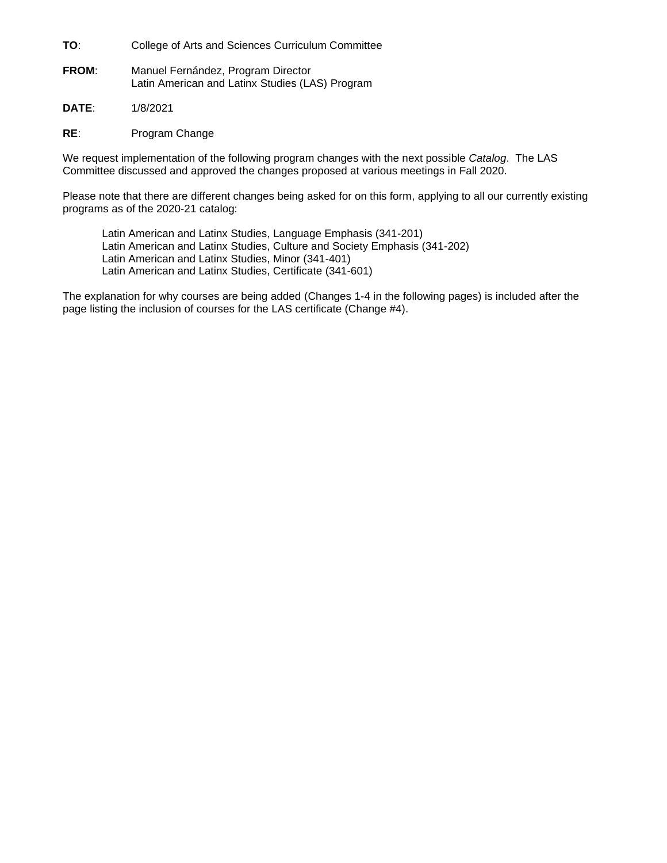**TO**: College of Arts and Sciences Curriculum Committee

**FROM**: Manuel Fernández, Program Director Latin American and Latinx Studies (LAS) Program

**DATE**: 1/8/2021

**RE**: Program Change

We request implementation of the following program changes with the next possible *Catalog*. The LAS Committee discussed and approved the changes proposed at various meetings in Fall 2020.

Please note that there are different changes being asked for on this form, applying to all our currently existing programs as of the 2020-21 catalog:

Latin American and Latinx Studies, Language Emphasis (341-201) Latin American and Latinx Studies, Culture and Society Emphasis (341-202) Latin American and Latinx Studies, Minor (341-401) Latin American and Latinx Studies, Certificate (341-601)

The explanation for why courses are being added (Changes 1-4 in the following pages) is included after the page listing the inclusion of courses for the LAS certificate (Change #4).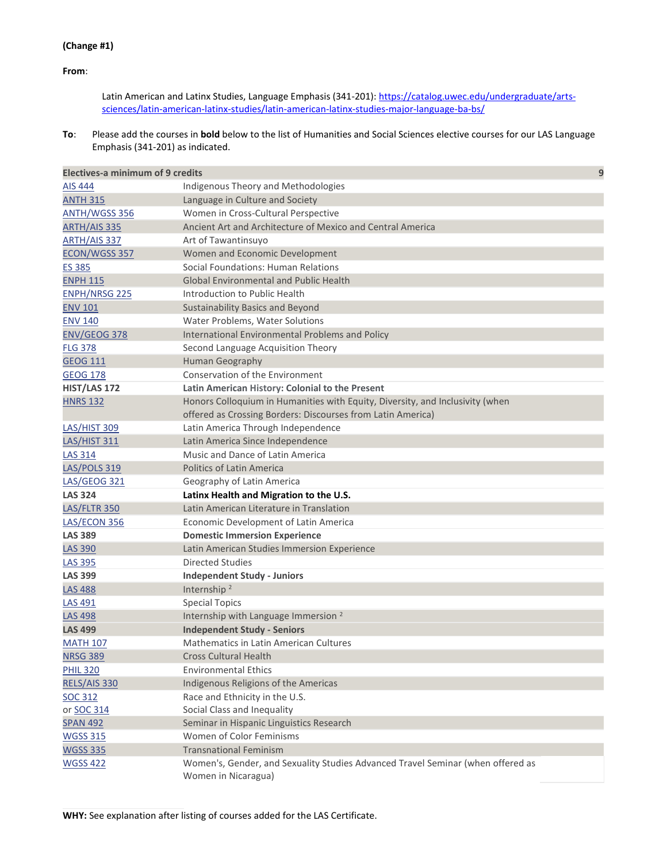### **(Change #1)**

**From**:

Latin American and Latinx Studies, Language Emphasis (341-201): [https://catalog.uwec.edu/undergraduate/arts](https://catalog.uwec.edu/undergraduate/arts-sciences/latin-american-latinx-studies/latin-american-latinx-studies-major-language-ba-bs/)[sciences/latin-american-latinx-studies/latin-american-latinx-studies-major-language-ba-bs/](https://catalog.uwec.edu/undergraduate/arts-sciences/latin-american-latinx-studies/latin-american-latinx-studies-major-language-ba-bs/)

**To**: Please add the courses in **bold** below to the list of Humanities and Social Sciences elective courses for our LAS Language Emphasis (341-201) as indicated.

| <b>Electives-a minimum of 9 credits</b> |                                                                                                        | 9 |
|-----------------------------------------|--------------------------------------------------------------------------------------------------------|---|
| <b>AIS 444</b>                          | Indigenous Theory and Methodologies                                                                    |   |
| <b>ANTH 315</b>                         | Language in Culture and Society                                                                        |   |
| <b>ANTH/WGSS 356</b>                    | Women in Cross-Cultural Perspective                                                                    |   |
| <u>ARTH/AIS 335</u>                     | Ancient Art and Architecture of Mexico and Central America                                             |   |
| ARTH/AIS 337                            | Art of Tawantinsuyo                                                                                    |   |
| ECON/WGSS 357                           | Women and Economic Development                                                                         |   |
| <b>ES 385</b>                           | Social Foundations: Human Relations                                                                    |   |
| <b>ENPH 115</b>                         | <b>Global Environmental and Public Health</b>                                                          |   |
| <b>ENPH/NRSG 225</b>                    | Introduction to Public Health                                                                          |   |
| <b>ENV 101</b>                          | <b>Sustainability Basics and Beyond</b>                                                                |   |
| <b>ENV 140</b>                          | Water Problems, Water Solutions                                                                        |   |
| <b>ENV/GEOG 378</b>                     | International Environmental Problems and Policy                                                        |   |
| <b>FLG 378</b>                          | Second Language Acquisition Theory                                                                     |   |
| <b>GEOG 111</b>                         | Human Geography                                                                                        |   |
| <b>GEOG 178</b>                         | <b>Conservation of the Environment</b>                                                                 |   |
| HIST/LAS 172                            | Latin American History: Colonial to the Present                                                        |   |
| <b>HNRS 132</b>                         | Honors Colloquium in Humanities with Equity, Diversity, and Inclusivity (when                          |   |
|                                         | offered as Crossing Borders: Discourses from Latin America)                                            |   |
| <b>LAS/HIST 309</b>                     | Latin America Through Independence                                                                     |   |
| LAS/HIST 311                            | Latin America Since Independence                                                                       |   |
| <b>LAS 314</b>                          | Music and Dance of Latin America                                                                       |   |
| <b>LAS/POLS 319</b>                     | <b>Politics of Latin America</b>                                                                       |   |
| <b>LAS/GEOG 321</b>                     | Geography of Latin America                                                                             |   |
| <b>LAS 324</b>                          | Latinx Health and Migration to the U.S.                                                                |   |
| LAS/FLTR 350                            | Latin American Literature in Translation                                                               |   |
| LAS/ECON 356                            | Economic Development of Latin America                                                                  |   |
| <b>LAS 389</b>                          | <b>Domestic Immersion Experience</b>                                                                   |   |
| <b>LAS 390</b>                          | Latin American Studies Immersion Experience                                                            |   |
| <b>LAS 395</b>                          | <b>Directed Studies</b>                                                                                |   |
| <b>LAS 399</b>                          | <b>Independent Study - Juniors</b>                                                                     |   |
| <b>LAS 488</b>                          | Internship <sup>2</sup>                                                                                |   |
| <b>LAS 491</b>                          | <b>Special Topics</b>                                                                                  |   |
| <b>LAS 498</b>                          | Internship with Language Immersion <sup>2</sup>                                                        |   |
| <b>LAS 499</b>                          | <b>Independent Study - Seniors</b>                                                                     |   |
| <b>MATH 107</b>                         | <b>Mathematics in Latin American Cultures</b>                                                          |   |
| <b>NRSG 389</b>                         | <b>Cross Cultural Health</b>                                                                           |   |
| <b>PHIL 320</b>                         | <b>Environmental Ethics</b>                                                                            |   |
| RELS/AIS 330                            | Indigenous Religions of the Americas                                                                   |   |
| SOC 312                                 | Race and Ethnicity in the U.S.                                                                         |   |
| or SOC 314                              | Social Class and Inequality                                                                            |   |
| <b>SPAN 492</b>                         | Seminar in Hispanic Linguistics Research                                                               |   |
| <b>WGSS 315</b>                         | Women of Color Feminisms                                                                               |   |
| <b>WGSS 335</b>                         | <b>Transnational Feminism</b>                                                                          |   |
| <b>WGSS 422</b>                         | Women's, Gender, and Sexuality Studies Advanced Travel Seminar (when offered as<br>Women in Nicaragua) |   |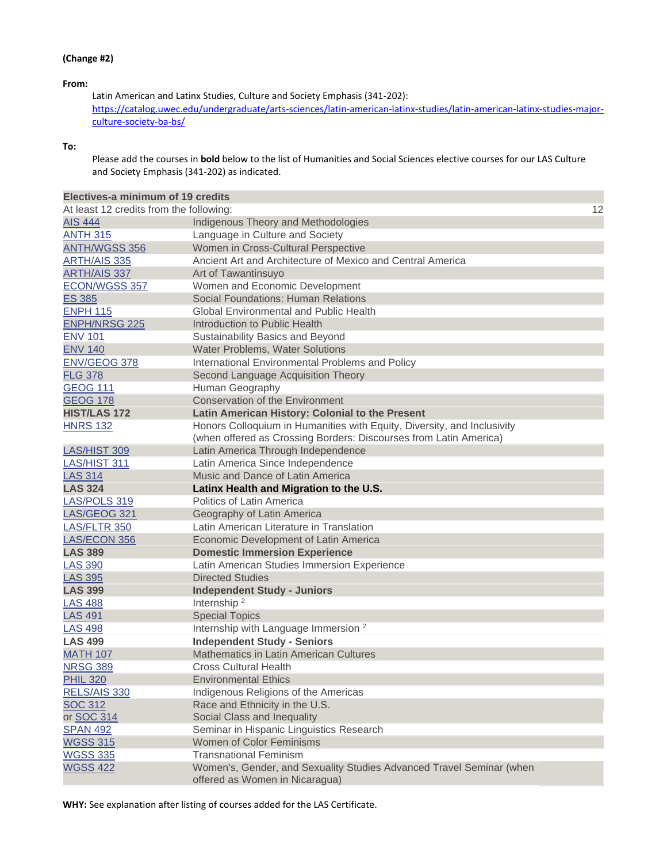### **(Change #2)**

### **From:**

Latin American and Latinx Studies, Culture and Society Emphasis (341-202): [https://catalog.uwec.edu/undergraduate/arts-sciences/latin-american-latinx-studies/latin-american-latinx-studies-major](https://catalog.uwec.edu/undergraduate/arts-sciences/latin-american-latinx-studies/latin-american-latinx-studies-major-culture-society-ba-bs/)[culture-society-ba-bs/](https://catalog.uwec.edu/undergraduate/arts-sciences/latin-american-latinx-studies/latin-american-latinx-studies-major-culture-society-ba-bs/)

#### **To:**

Please add the courses in **bold** below to the list of Humanities and Social Sciences elective courses for our LAS Culture and Society Emphasis (341-202) as indicated.

| Electives-a minimum of 19 credits       |                                                                                                                                              |    |
|-----------------------------------------|----------------------------------------------------------------------------------------------------------------------------------------------|----|
| At least 12 credits from the following: |                                                                                                                                              | 12 |
| <b>AIS 444</b>                          | Indigenous Theory and Methodologies                                                                                                          |    |
| <b>ANTH 315</b>                         | Language in Culture and Society                                                                                                              |    |
| <b>ANTH/WGSS 356</b>                    | Women in Cross-Cultural Perspective                                                                                                          |    |
| <b>ARTH/AIS 335</b>                     | Ancient Art and Architecture of Mexico and Central America                                                                                   |    |
| <b>ARTH/AIS 337</b>                     | Art of Tawantinsuyo                                                                                                                          |    |
| ECON/WGSS 357                           | Women and Economic Development                                                                                                               |    |
| <b>ES 385</b>                           | Social Foundations: Human Relations                                                                                                          |    |
| <b>ENPH 115</b>                         | <b>Global Environmental and Public Health</b>                                                                                                |    |
| <b>ENPH/NRSG 225</b>                    | Introduction to Public Health                                                                                                                |    |
| <b>ENV 101</b>                          | Sustainability Basics and Beyond                                                                                                             |    |
| <b>ENV 140</b>                          | Water Problems, Water Solutions                                                                                                              |    |
| ENV/GEOG 378                            | International Environmental Problems and Policy                                                                                              |    |
| <b>FLG 378</b>                          | Second Language Acquisition Theory                                                                                                           |    |
| <b>GEOG 111</b>                         | Human Geography                                                                                                                              |    |
| <b>GEOG 178</b>                         | <b>Conservation of the Environment</b>                                                                                                       |    |
| <b>HIST/LAS 172</b>                     | Latin American History: Colonial to the Present                                                                                              |    |
| <b>HNRS 132</b>                         | Honors Colloquium in Humanities with Equity, Diversity, and Inclusivity<br>(when offered as Crossing Borders: Discourses from Latin America) |    |
| LAS/HIST 309                            | Latin America Through Independence                                                                                                           |    |
| LAS/HIST 311                            | Latin America Since Independence                                                                                                             |    |
| <b>LAS 314</b>                          | Music and Dance of Latin America                                                                                                             |    |
| <b>LAS 324</b>                          | Latinx Health and Migration to the U.S.                                                                                                      |    |
| LAS/POLS 319                            | <b>Politics of Latin America</b>                                                                                                             |    |
| LAS/GEOG 321                            | Geography of Latin America                                                                                                                   |    |
| LAS/FLTR 350                            | Latin American Literature in Translation                                                                                                     |    |
| LAS/ECON 356                            | Economic Development of Latin America                                                                                                        |    |
| <b>LAS 389</b>                          | <b>Domestic Immersion Experience</b>                                                                                                         |    |
| <b>LAS 390</b>                          | Latin American Studies Immersion Experience                                                                                                  |    |
| <b>LAS 395</b>                          | <b>Directed Studies</b>                                                                                                                      |    |
| <b>LAS 399</b>                          | <b>Independent Study - Juniors</b>                                                                                                           |    |
| <b>LAS 488</b>                          | Internship <sup>2</sup>                                                                                                                      |    |
| <b>LAS 491</b>                          | <b>Special Topics</b>                                                                                                                        |    |
| <b>LAS 498</b>                          | Internship with Language Immersion <sup>2</sup>                                                                                              |    |
| <b>LAS 499</b>                          | <b>Independent Study - Seniors</b>                                                                                                           |    |
| <b>MATH 107</b>                         | Mathematics in Latin American Cultures                                                                                                       |    |
| <b>NRSG 389</b>                         | <b>Cross Cultural Health</b>                                                                                                                 |    |
| <b>PHIL 320</b>                         | <b>Environmental Ethics</b>                                                                                                                  |    |
| RELS/AIS 330                            | Indigenous Religions of the Americas                                                                                                         |    |
| <b>SOC 312</b>                          | Race and Ethnicity in the U.S.                                                                                                               |    |
| or SOC 314                              | Social Class and Inequality                                                                                                                  |    |
| <b>SPAN 492</b>                         | Seminar in Hispanic Linguistics Research                                                                                                     |    |
| <b>WGSS 315</b>                         | <b>Women of Color Feminisms</b>                                                                                                              |    |
| <b>WGSS 335</b>                         | <b>Transnational Feminism</b>                                                                                                                |    |
| <b>WGSS 422</b>                         | Women's, Gender, and Sexuality Studies Advanced Travel Seminar (when<br>offered as Women in Nicaragua)                                       |    |

**WHY:** See explanation after listing of courses added for the LAS Certificate.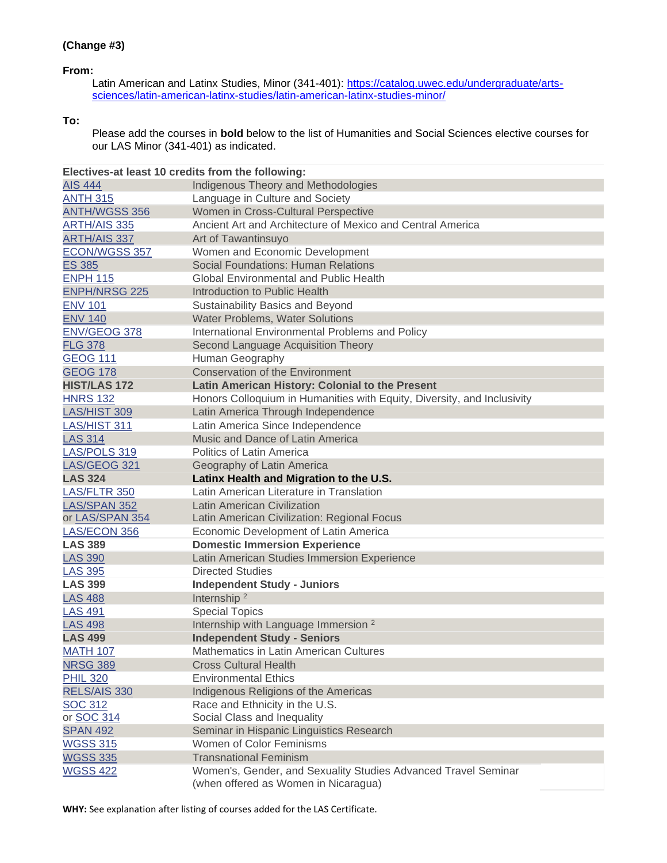## **From:**

Latin American and Latinx Studies, Minor (341-401): [https://catalog.uwec.edu/undergraduate/arts](https://catalog.uwec.edu/undergraduate/arts-sciences/latin-american-latinx-studies/latin-american-latinx-studies-minor/)[sciences/latin-american-latinx-studies/latin-american-latinx-studies-minor/](https://catalog.uwec.edu/undergraduate/arts-sciences/latin-american-latinx-studies/latin-american-latinx-studies-minor/)

## **To:**

Please add the courses in **bold** below to the list of Humanities and Social Sciences elective courses for our LAS Minor (341-401) as indicated.

| Electives-at least 10 credits from the following: |                                                                                                        |
|---------------------------------------------------|--------------------------------------------------------------------------------------------------------|
| <b>AIS 444</b>                                    | Indigenous Theory and Methodologies                                                                    |
| <b>ANTH 315</b>                                   | Language in Culture and Society                                                                        |
| <b>ANTH/WGSS 356</b>                              | Women in Cross-Cultural Perspective                                                                    |
| <b>ARTH/AIS 335</b>                               | Ancient Art and Architecture of Mexico and Central America                                             |
| <b>ARTH/AIS 337</b>                               | Art of Tawantinsuyo                                                                                    |
| ECON/WGSS 357                                     | Women and Economic Development                                                                         |
| ES 385                                            | <b>Social Foundations: Human Relations</b>                                                             |
| <b>ENPH 115</b>                                   | <b>Global Environmental and Public Health</b>                                                          |
| <b>ENPH/NRSG 225</b>                              | Introduction to Public Health                                                                          |
| <b>ENV 101</b>                                    | Sustainability Basics and Beyond                                                                       |
| <b>ENV 140</b>                                    | Water Problems, Water Solutions                                                                        |
| ENV/GEOG 378                                      | International Environmental Problems and Policy                                                        |
| <b>FLG 378</b>                                    | Second Language Acquisition Theory                                                                     |
| <b>GEOG 111</b>                                   | Human Geography                                                                                        |
| <b>GEOG 178</b>                                   | <b>Conservation of the Environment</b>                                                                 |
| <b>HIST/LAS 172</b>                               | Latin American History: Colonial to the Present                                                        |
| <b>HNRS 132</b>                                   | Honors Colloquium in Humanities with Equity, Diversity, and Inclusivity                                |
| <b>LAS/HIST 309</b>                               | Latin America Through Independence                                                                     |
| LAS/HIST 311                                      | Latin America Since Independence                                                                       |
| <b>LAS 314</b>                                    | Music and Dance of Latin America                                                                       |
| LAS/POLS 319                                      | Politics of Latin America                                                                              |
| LAS/GEOG 321                                      | Geography of Latin America                                                                             |
| <b>LAS 324</b>                                    | Latinx Health and Migration to the U.S.                                                                |
| LAS/FLTR 350                                      | Latin American Literature in Translation                                                               |
| LAS/SPAN 352                                      | <b>Latin American Civilization</b>                                                                     |
| or LAS/SPAN 354                                   | Latin American Civilization: Regional Focus                                                            |
| LAS/ECON 356                                      | Economic Development of Latin America                                                                  |
| <b>LAS 389</b>                                    | <b>Domestic Immersion Experience</b>                                                                   |
| <b>LAS 390</b>                                    | Latin American Studies Immersion Experience                                                            |
| <b>LAS 395</b>                                    | <b>Directed Studies</b>                                                                                |
| <b>LAS 399</b>                                    | <b>Independent Study - Juniors</b>                                                                     |
| <b>LAS 488</b>                                    | Internship <sup>2</sup>                                                                                |
| <b>LAS 491</b>                                    | <b>Special Topics</b>                                                                                  |
| <b>LAS 498</b>                                    | Internship with Language Immersion <sup>2</sup>                                                        |
| <b>LAS 499</b>                                    | <b>Independent Study - Seniors</b>                                                                     |
| <b>MATH 107</b>                                   | Mathematics in Latin American Cultures                                                                 |
| <b>NRSG 389</b>                                   | <b>Cross Cultural Health</b>                                                                           |
| <b>PHIL 320</b>                                   | <b>Environmental Ethics</b>                                                                            |
| RELS/AIS 330                                      | Indigenous Religions of the Americas                                                                   |
| SOC 312                                           | Race and Ethnicity in the U.S.                                                                         |
| or SOC 314                                        | Social Class and Inequality                                                                            |
| <b>SPAN 492</b>                                   | Seminar in Hispanic Linguistics Research                                                               |
| <b>WGSS 315</b>                                   | Women of Color Feminisms                                                                               |
| <b>WGSS 335</b>                                   | <b>Transnational Feminism</b>                                                                          |
| <b>WGSS 422</b>                                   | Women's, Gender, and Sexuality Studies Advanced Travel Seminar<br>(when offered as Women in Nicaragua) |

**WHY:** See explanation after listing of courses added for the LAS Certificate.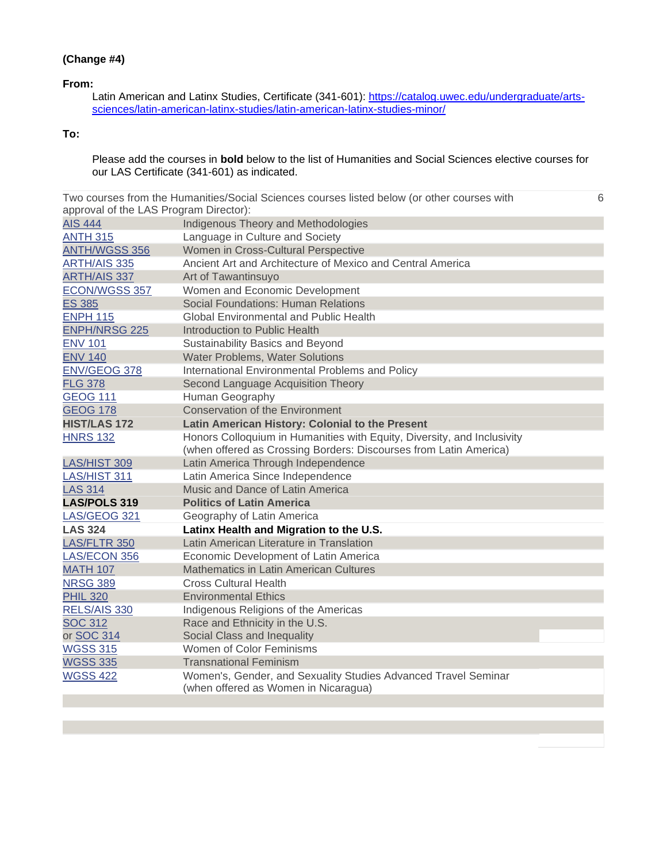## **(Change #4)**

### **From:**

Latin American and Latinx Studies, Certificate (341-601): [https://catalog.uwec.edu/undergraduate/arts](https://catalog.uwec.edu/undergraduate/arts-sciences/latin-american-latinx-studies/latin-american-latinx-studies-minor/)[sciences/latin-american-latinx-studies/latin-american-latinx-studies-minor/](https://catalog.uwec.edu/undergraduate/arts-sciences/latin-american-latinx-studies/latin-american-latinx-studies-minor/)

# **To:**

Please add the courses in **bold** below to the list of Humanities and Social Sciences elective courses for our LAS Certificate (341-601) as indicated.

|                                        | Two courses from the Humanities/Social Sciences courses listed below (or other courses with | 6 |
|----------------------------------------|---------------------------------------------------------------------------------------------|---|
| approval of the LAS Program Director): |                                                                                             |   |
| <b>AIS 444</b>                         | Indigenous Theory and Methodologies                                                         |   |
| <b>ANTH 315</b>                        | Language in Culture and Society                                                             |   |
| <b>ANTH/WGSS 356</b>                   | Women in Cross-Cultural Perspective                                                         |   |
| <b>ARTH/AIS 335</b>                    | Ancient Art and Architecture of Mexico and Central America                                  |   |
| <b>ARTH/AIS 337</b>                    | Art of Tawantinsuyo                                                                         |   |
| ECON/WGSS 357                          | Women and Economic Development                                                              |   |
| <b>ES 385</b>                          | Social Foundations: Human Relations                                                         |   |
| <b>ENPH 115</b>                        | Global Environmental and Public Health                                                      |   |
| <b>ENPH/NRSG 225</b>                   | Introduction to Public Health                                                               |   |
| <b>ENV 101</b>                         | Sustainability Basics and Beyond                                                            |   |
| <b>ENV 140</b>                         | Water Problems, Water Solutions                                                             |   |
| ENV/GEOG 378                           | International Environmental Problems and Policy                                             |   |
| <b>FLG 378</b>                         | Second Language Acquisition Theory                                                          |   |
| <b>GEOG 111</b>                        | Human Geography                                                                             |   |
| <b>GEOG 178</b>                        | <b>Conservation of the Environment</b>                                                      |   |
| <b>HIST/LAS 172</b>                    | Latin American History: Colonial to the Present                                             |   |
| <b>HNRS 132</b>                        | Honors Colloquium in Humanities with Equity, Diversity, and Inclusivity                     |   |
|                                        | (when offered as Crossing Borders: Discourses from Latin America)                           |   |
| <b>LAS/HIST 309</b>                    | Latin America Through Independence                                                          |   |
| LAS/HIST 311                           | Latin America Since Independence                                                            |   |
| <b>LAS 314</b>                         | Music and Dance of Latin America                                                            |   |
| <b>LAS/POLS 319</b>                    | <b>Politics of Latin America</b>                                                            |   |
| LAS/GEOG 321                           | Geography of Latin America                                                                  |   |
| <b>LAS 324</b>                         | Latinx Health and Migration to the U.S.                                                     |   |
| LAS/FLTR 350                           | Latin American Literature in Translation                                                    |   |
| LAS/ECON 356                           | Economic Development of Latin America                                                       |   |
| <b>MATH 107</b>                        | Mathematics in Latin American Cultures                                                      |   |
| <b>NRSG 389</b>                        | <b>Cross Cultural Health</b>                                                                |   |
| <b>PHIL 320</b>                        | <b>Environmental Ethics</b>                                                                 |   |
| RELS/AIS 330                           | Indigenous Religions of the Americas                                                        |   |
| <b>SOC 312</b>                         | Race and Ethnicity in the U.S.                                                              |   |
| or SOC 314                             | Social Class and Inequality                                                                 |   |
| <b>WGSS 315</b>                        | Women of Color Feminisms                                                                    |   |
| <b>WGSS 335</b>                        | <b>Transnational Feminism</b>                                                               |   |
| <b>WGSS 422</b>                        | Women's, Gender, and Sexuality Studies Advanced Travel Seminar                              |   |
|                                        | (when offered as Women in Nicaragua)                                                        |   |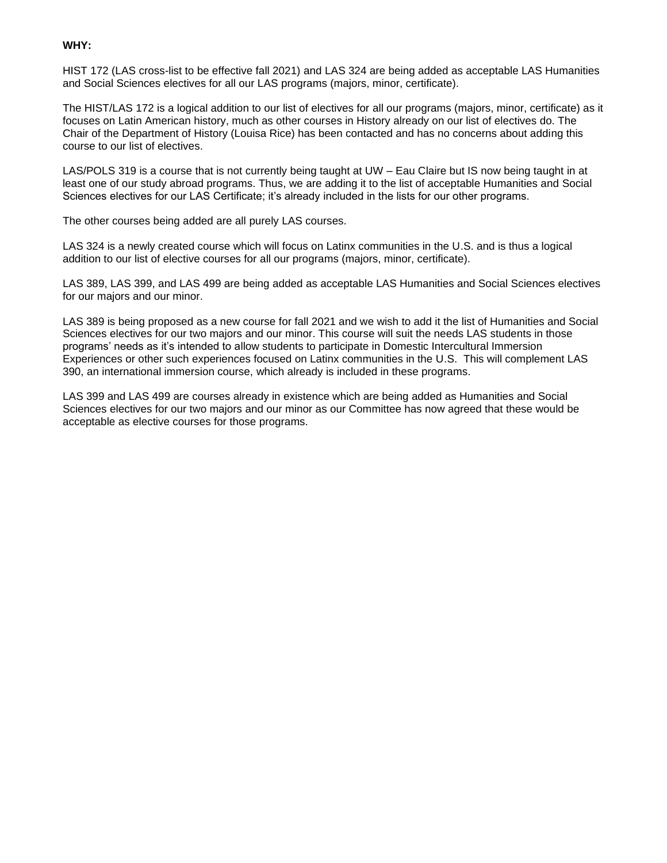### **WHY:**

HIST 172 (LAS cross-list to be effective fall 2021) and LAS 324 are being added as acceptable LAS Humanities and Social Sciences electives for all our LAS programs (majors, minor, certificate).

The HIST/LAS 172 is a logical addition to our list of electives for all our programs (majors, minor, certificate) as it focuses on Latin American history, much as other courses in History already on our list of electives do. The Chair of the Department of History (Louisa Rice) has been contacted and has no concerns about adding this course to our list of electives.

LAS/POLS 319 is a course that is not currently being taught at UW – Eau Claire but IS now being taught in at least one of our study abroad programs. Thus, we are adding it to the list of acceptable Humanities and Social Sciences electives for our LAS Certificate; it's already included in the lists for our other programs.

The other courses being added are all purely LAS courses.

LAS 324 is a newly created course which will focus on Latinx communities in the U.S. and is thus a logical addition to our list of elective courses for all our programs (majors, minor, certificate).

LAS 389, LAS 399, and LAS 499 are being added as acceptable LAS Humanities and Social Sciences electives for our majors and our minor.

LAS 389 is being proposed as a new course for fall 2021 and we wish to add it the list of Humanities and Social Sciences electives for our two majors and our minor. This course will suit the needs LAS students in those programs' needs as it's intended to allow students to participate in Domestic Intercultural Immersion Experiences or other such experiences focused on Latinx communities in the U.S. This will complement LAS 390, an international immersion course, which already is included in these programs.

LAS 399 and LAS 499 are courses already in existence which are being added as Humanities and Social Sciences electives for our two majors and our minor as our Committee has now agreed that these would be acceptable as elective courses for those programs.